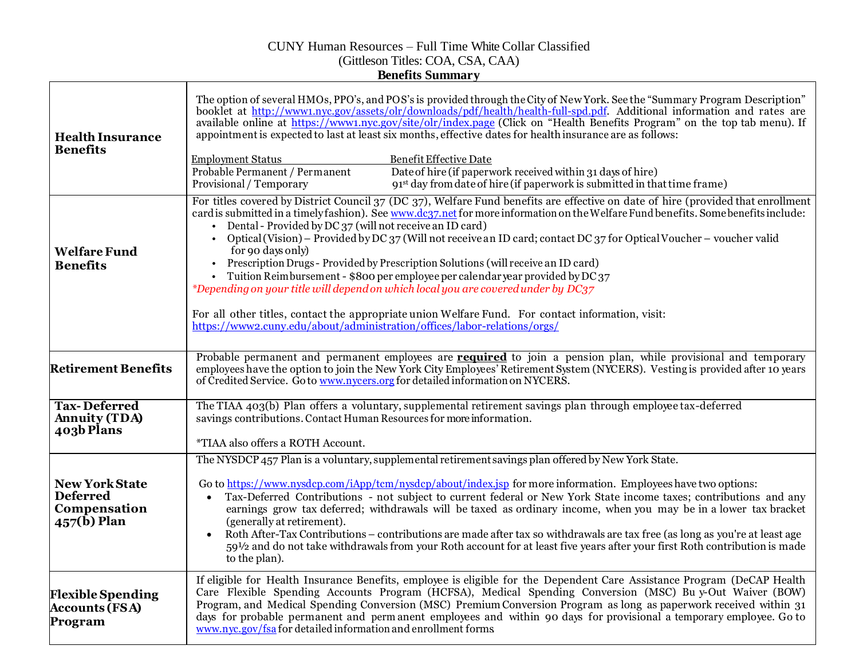## CUNY Human Resources – Full Time White Collar Classified (Gittleson Titles: COA, CSA, CAA) **Benefits Summary**

| <b>Health Insurance</b><br><b>Benefits</b>                                      | The option of several HMOs, PPO's, and POS's is provided through the City of New York. See the "Summary Program Description"<br>booklet at http://www1.nyc.gov/assets/olr/downloads/pdf/health/health-full-spd.pdf. Additional information and rates are<br>available online at https://www1.nyc.gov/site/olr/index.page (Click on "Health Benefits Program" on the top tab menu). If<br>appointment is expected to last at least six months, effective dates for health insurance are as follows:<br><b>Employment Status</b><br>Benefit Effective Date<br>Probable Permanent / Permanent<br>Date of hire (if paperwork received within 31 days of hire)<br>91 <sup>st</sup> day from date of hire (if paperwork is submitted in that time frame)<br>Provisional / Temporary                                                                                                                                                   |  |  |  |
|---------------------------------------------------------------------------------|---------------------------------------------------------------------------------------------------------------------------------------------------------------------------------------------------------------------------------------------------------------------------------------------------------------------------------------------------------------------------------------------------------------------------------------------------------------------------------------------------------------------------------------------------------------------------------------------------------------------------------------------------------------------------------------------------------------------------------------------------------------------------------------------------------------------------------------------------------------------------------------------------------------------------------|--|--|--|
| <b>Welfare Fund</b><br><b>Benefits</b>                                          | For titles covered by District Council 37 (DC 37), Welfare Fund benefits are effective on date of hire (provided that enrollment<br>card is submitted in a timely fashion). See www.dc37.net for more information on the Welfare Fund benefits. Some benefits include:<br>Dental - Provided by DC 37 (will not receive an ID card)<br>Optical (Vision) – Provided by DC 37 (Will not receive an ID card; contact DC 37 for Optical Voucher – voucher valid<br>for 90 days only)<br>Prescription Drugs - Provided by Prescription Solutions (will receive an ID card)<br>• Tuition Reimbursement - \$800 per employee per calendar year provided by $DC37$<br>*Depending on your title will depend on which local you are covered under by DC37<br>For all other titles, contact the appropriate union Welfare Fund. For contact information, visit:<br>https://www2.cuny.edu/about/administration/offices/labor-relations/orgs/ |  |  |  |
| <b>Retirement Benefits</b>                                                      | Probable permanent and permanent employees are <b>required</b> to join a pension plan, while provisional and temporary<br>employees have the option to join the New York City Employees' Retirement System (NYCERS). Vesting is provided after 10 years<br>of Credited Service. Go to www.nycers.org for detailed information on NYCERS.                                                                                                                                                                                                                                                                                                                                                                                                                                                                                                                                                                                        |  |  |  |
| <b>Tax-Deferred</b><br><b>Annuity (TDA)</b><br>403b Plans                       | The TIAA 403(b) Plan offers a voluntary, supplemental retirement savings plan through employee tax-deferred<br>savings contributions. Contact Human Resources for more information.<br>*TIAA also offers a ROTH Account.                                                                                                                                                                                                                                                                                                                                                                                                                                                                                                                                                                                                                                                                                                        |  |  |  |
|                                                                                 | The NYSDCP 457 Plan is a voluntary, supplemental retirement savings plan offered by New York State.                                                                                                                                                                                                                                                                                                                                                                                                                                                                                                                                                                                                                                                                                                                                                                                                                             |  |  |  |
| <b>New York State</b><br><b>Deferred</b><br>Compensation<br>$457(\hat{b})$ Plan | Go to https://www.nysdcp.com/iApp/tcm/nysdcp/about/index.jsp for more information. Employees have two options:<br>Tax-Deferred Contributions - not subject to current federal or New York State income taxes; contributions and any<br>$\bullet$<br>earnings grow tax deferred; withdrawals will be taxed as ordinary income, when you may be in a lower tax bracket<br>(generally at retirement).<br>Roth After-Tax Contributions – contributions are made after tax so withdrawals are tax free (as long as you're at least age<br>$\bullet$<br>59½ and do not take withdrawals from your Roth account for at least five years after your first Roth contribution is made<br>to the plan).                                                                                                                                                                                                                                    |  |  |  |
| <b>Flexible Spending</b><br><b>Accounts (FSA)</b><br>Program                    | If eligible for Health Insurance Benefits, employee is eligible for the Dependent Care Assistance Program (DeCAP Health<br>Care Flexible Spending Accounts Program (HCFSA), Medical Spending Conversion (MSC) Bu y-Out Waiver (BOW)<br>Program, and Medical Spending Conversion (MSC) Premium Conversion Program as long as paperwork received within 31<br>days for probable permanent and permanent employees and within 90 days for provisional a temporary employee. Go to<br>www.nyc.gov/fsa for detailed information and enrollment forms                                                                                                                                                                                                                                                                                                                                                                                 |  |  |  |